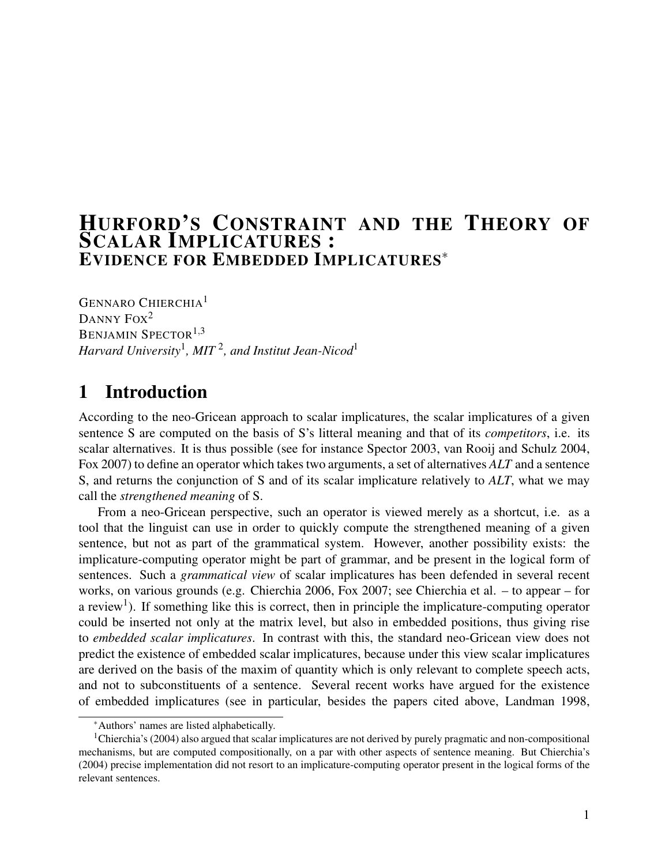# HURFORD'S CONSTRAINT AND THE THEORY OF SCALAR IMPLICATURES : EVIDENCE FOR EMBEDDED IMPLICATURES<sup>∗</sup>

GENNARO CHIERCHIA<sup>1</sup> DANNY FOX<sup>2</sup> BENJAMIN SPECTOR<sup>1,3</sup> *Harvard University*<sup>1</sup> *, MIT* <sup>2</sup> *, and Institut Jean-Nicod*<sup>1</sup>

# 1 Introduction

According to the neo-Gricean approach to scalar implicatures, the scalar implicatures of a given sentence S are computed on the basis of S's litteral meaning and that of its *competitors*, i.e. its scalar alternatives. It is thus possible (see for instance Spector 2003, van Rooij and Schulz 2004, Fox 2007) to define an operator which takes two arguments, a set of alternatives *ALT* and a sentence S, and returns the conjunction of S and of its scalar implicature relatively to *ALT*, what we may call the *strengthened meaning* of S.

From a neo-Gricean perspective, such an operator is viewed merely as a shortcut, i.e. as a tool that the linguist can use in order to quickly compute the strengthened meaning of a given sentence, but not as part of the grammatical system. However, another possibility exists: the implicature-computing operator might be part of grammar, and be present in the logical form of sentences. Such a *grammatical view* of scalar implicatures has been defended in several recent works, on various grounds (e.g. Chierchia 2006, Fox 2007; see Chierchia et al. – to appear – for a review<sup>1</sup>). If something like this is correct, then in principle the implicature-computing operator could be inserted not only at the matrix level, but also in embedded positions, thus giving rise to *embedded scalar implicatures*. In contrast with this, the standard neo-Gricean view does not predict the existence of embedded scalar implicatures, because under this view scalar implicatures are derived on the basis of the maxim of quantity which is only relevant to complete speech acts, and not to subconstituents of a sentence. Several recent works have argued for the existence of embedded implicatures (see in particular, besides the papers cited above, Landman 1998,

<sup>∗</sup>Authors' names are listed alphabetically.

<sup>&</sup>lt;sup>1</sup>Chierchia's (2004) also argued that scalar implicatures are not derived by purely pragmatic and non-compositional mechanisms, but are computed compositionally, on a par with other aspects of sentence meaning. But Chierchia's (2004) precise implementation did not resort to an implicature-computing operator present in the logical forms of the relevant sentences.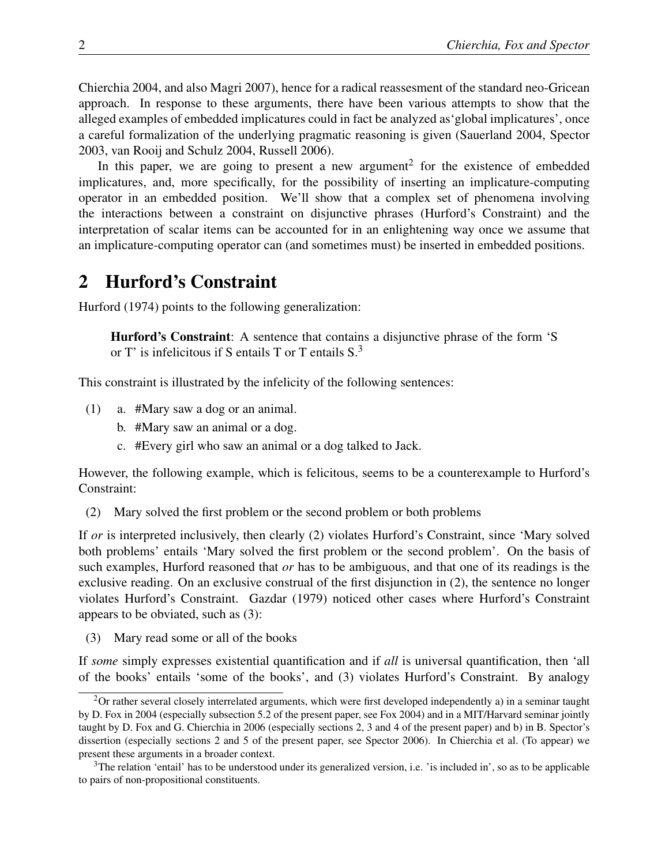Chierchia 2004, and also Magri 2007), hence for a radical reassesment of the standard neo-Gricean approach. In response to these arguments, there have been various attempts to show that the alleged examples of embedded implicatures could in fact be analyzed as'global implicatures', once a careful formalization of the underlying pragmatic reasoning is given (Sauerland 2004, Spector 2003, van Rooij and Schulz 2004, Russell 2006).

In this paper, we are going to present a new argument<sup>2</sup> for the existence of embedded implicatures, and, more specifically, for the possibility of inserting an implicature-computing operator in an embedded position. We'll show that a complex set of phenomena involving the interactions between a constraint on disjunctive phrases (Hurford's Constraint) and the interpretation of scalar items can be accounted for in an enlightening way once we assume that an implicature-computing operator can (and sometimes must) be inserted in embedded positions.

### 2 Hurford's Constraint

Hurford (1974) points to the following generalization:

Hurford's Constraint: A sentence that contains a disjunctive phrase of the form 'S or T' is infelicitous if S entails T or T entails S.<sup>3</sup>

This constraint is illustrated by the infelicity of the following sentences:

- (1) a. #Mary saw a dog or an animal.
	- b. #Mary saw an animal or a dog.
	- c. #Every girl who saw an animal or a dog talked to Jack.

However, the following example, which is felicitous, seems to be a counterexample to Hurford's Constraint:

(2) Mary solved the first problem or the second problem or both problems

If *or* is interpreted inclusively, then clearly (2) violates Hurford's Constraint, since 'Mary solved both problems' entails 'Mary solved the first problem or the second problem'. On the basis of such examples, Hurford reasoned that *or* has to be ambiguous, and that one of its readings is the exclusive reading. On an exclusive construal of the first disjunction in (2), the sentence no longer violates Hurford's Constraint. Gazdar (1979) noticed other cases where Hurford's Constraint appears to be obviated, such as (3):

(3) Mary read some or all of the books

If *some* simply expresses existential quantification and if *all* is universal quantification, then 'all of the books' entails 'some of the books', and (3) violates Hurford's Constraint. By analogy

 $2$ Or rather several closely interrelated arguments, which were first developed independently a) in a seminar taught by D. Fox in 2004 (especially subsection 5.2 of the present paper, see Fox 2004) and in a MIT/Harvard seminar jointly taught by D. Fox and G. Chierchia in 2006 (especially sections 2, 3 and 4 of the present paper) and b) in B. Spector's dissertion (especially sections 2 and 5 of the present paper, see Spector 2006). In Chierchia et al. (To appear) we present these arguments in a broader context.

<sup>&</sup>lt;sup>3</sup>The relation 'entail' has to be understood under its generalized version, i.e. 'is included in', so as to be applicable to pairs of non-propositional constituents.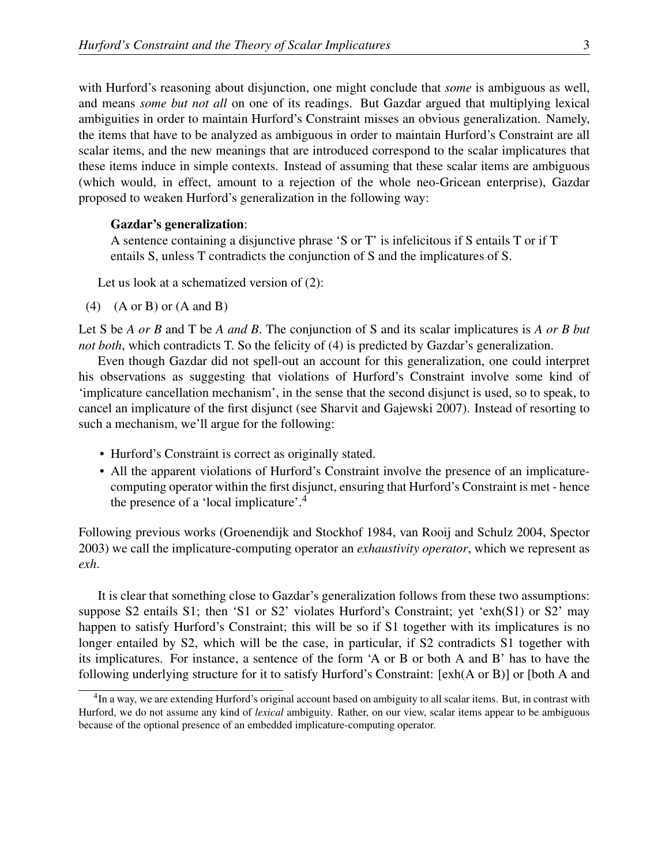with Hurford's reasoning about disjunction, one might conclude that *some* is ambiguous as well, and means *some but not all* on one of its readings. But Gazdar argued that multiplying lexical ambiguities in order to maintain Hurford's Constraint misses an obvious generalization. Namely, the items that have to be analyzed as ambiguous in order to maintain Hurford's Constraint are all scalar items, and the new meanings that are introduced correspond to the scalar implicatures that these items induce in simple contexts. Instead of assuming that these scalar items are ambiguous (which would, in effect, amount to a rejection of the whole neo-Gricean enterprise), Gazdar proposed to weaken Hurford's generalization in the following way:

#### Gazdar's generalization:

A sentence containing a disjunctive phrase 'S or T' is infelicitous if S entails T or if T entails S, unless T contradicts the conjunction of S and the implicatures of S.

Let us look at a schematized version of (2):

 $(4)$   $(A \text{ or } B)$  or  $(A \text{ and } B)$ 

Let S be *A or B* and T be *A and B*. The conjunction of S and its scalar implicatures is *A or B but not both*, which contradicts T. So the felicity of (4) is predicted by Gazdar's generalization.

Even though Gazdar did not spell-out an account for this generalization, one could interpret his observations as suggesting that violations of Hurford's Constraint involve some kind of 'implicature cancellation mechanism', in the sense that the second disjunct is used, so to speak, to cancel an implicature of the first disjunct (see Sharvit and Gajewski 2007). Instead of resorting to such a mechanism, we'll argue for the following:

- Hurford's Constraint is correct as originally stated.
- All the apparent violations of Hurford's Constraint involve the presence of an implicaturecomputing operator within the first disjunct, ensuring that Hurford's Constraint is met - hence the presence of a 'local implicature'.<sup>4</sup>

Following previous works (Groenendijk and Stockhof 1984, van Rooij and Schulz 2004, Spector 2003) we call the implicature-computing operator an *exhaustivity operator*, which we represent as *exh*.

It is clear that something close to Gazdar's generalization follows from these two assumptions: suppose S2 entails S1; then 'S1 or S2' violates Hurford's Constraint; yet 'exh(S1) or S2' may happen to satisfy Hurford's Constraint; this will be so if S1 together with its implicatures is no longer entailed by S2, which will be the case, in particular, if S2 contradicts S1 together with its implicatures. For instance, a sentence of the form 'A or B or both A and B' has to have the following underlying structure for it to satisfy Hurford's Constraint: [exh(A or B)] or [both A and

<sup>&</sup>lt;sup>4</sup>In a way, we are extending Hurford's original account based on ambiguity to all scalar items. But, in contrast with Hurford, we do not assume any kind of *lexical* ambiguity. Rather, on our view, scalar items appear to be ambiguous because of the optional presence of an embedded implicature-computing operator.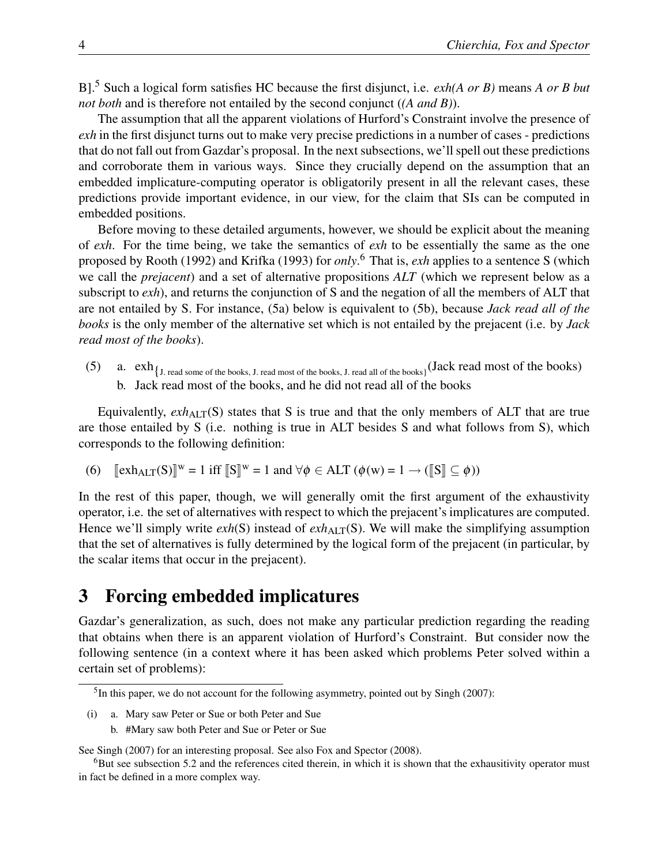B].<sup>5</sup> Such a logical form satisfies HC because the first disjunct, i.e. *exh(A or B)* means *A or B but not both* and is therefore not entailed by the second conjunct (*(A and B)*).

The assumption that all the apparent violations of Hurford's Constraint involve the presence of *exh* in the first disjunct turns out to make very precise predictions in a number of cases - predictions that do not fall out from Gazdar's proposal. In the next subsections, we'll spell out these predictions and corroborate them in various ways. Since they crucially depend on the assumption that an embedded implicature-computing operator is obligatorily present in all the relevant cases, these predictions provide important evidence, in our view, for the claim that SIs can be computed in embedded positions.

Before moving to these detailed arguments, however, we should be explicit about the meaning of *exh*. For the time being, we take the semantics of *exh* to be essentially the same as the one proposed by Rooth (1992) and Krifka (1993) for *only*. <sup>6</sup> That is, *exh* applies to a sentence S (which we call the *prejacent*) and a set of alternative propositions *ALT* (which we represent below as a subscript to *exh*), and returns the conjunction of S and the negation of all the members of ALT that are not entailed by S. For instance, (5a) below is equivalent to (5b), because *Jack read all of the books* is the only member of the alternative set which is not entailed by the prejacent (i.e. by *Jack read most of the books*).

(5) a.  $exh_{J. read some of the books, J. read most of the books, J. read all of the books)}(Jack read most of the books)$ b. Jack read most of the books, and he did not read all of the books

Equivalently,  $exh_{\text{AIT}}(S)$  states that S is true and that the only members of ALT that are true are those entailed by S (i.e. nothing is true in ALT besides S and what follows from S), which corresponds to the following definition:

(6) 
$$
[\![\mathrm{exh}_{\mathrm{ALT}}(S)]\!]^w = 1
$$
 iff  $[\![S]\!]^w = 1$  and  $\forall \phi \in \mathrm{ALT} \ (\phi(w) = 1 \rightarrow ([\![S]\!] \subseteq \phi))$ 

In the rest of this paper, though, we will generally omit the first argument of the exhaustivity operator, i.e. the set of alternatives with respect to which the prejacent's implicatures are computed. Hence we'll simply write  $exh(S)$  instead of  $exh_{AIT}(S)$ . We will make the simplifying assumption that the set of alternatives is fully determined by the logical form of the prejacent (in particular, by the scalar items that occur in the prejacent).

### 3 Forcing embedded implicatures

Gazdar's generalization, as such, does not make any particular prediction regarding the reading that obtains when there is an apparent violation of Hurford's Constraint. But consider now the following sentence (in a context where it has been asked which problems Peter solved within a certain set of problems):

b. #Mary saw both Peter and Sue or Peter or Sue

See Singh (2007) for an interesting proposal. See also Fox and Spector (2008).

<sup>&</sup>lt;sup>5</sup>In this paper, we do not account for the following asymmetry, pointed out by Singh (2007):

<sup>(</sup>i) a. Mary saw Peter or Sue or both Peter and Sue

<sup>&</sup>lt;sup>6</sup>But see subsection 5.2 and the references cited therein, in which it is shown that the exhausitivity operator must in fact be defined in a more complex way.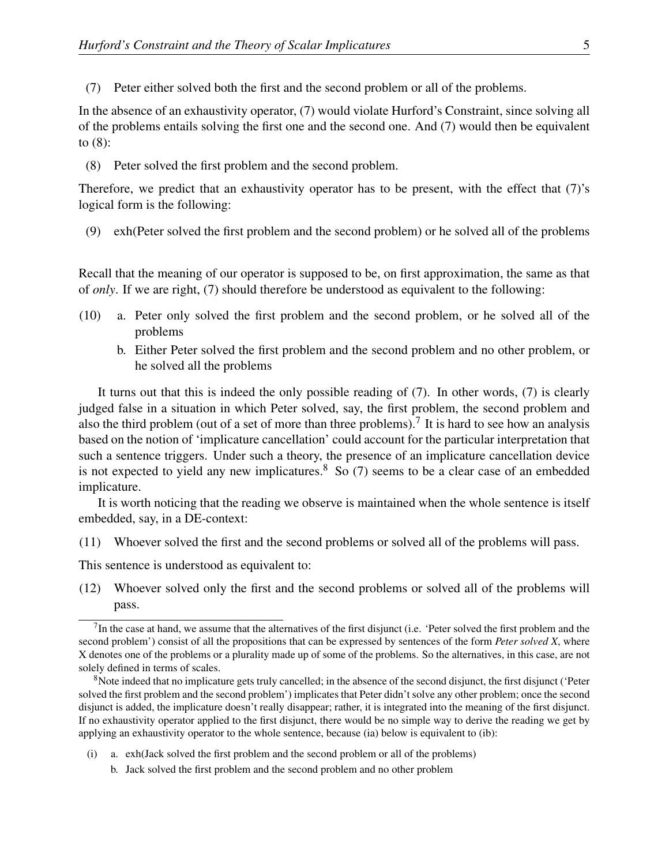(7) Peter either solved both the first and the second problem or all of the problems.

In the absence of an exhaustivity operator, (7) would violate Hurford's Constraint, since solving all of the problems entails solving the first one and the second one. And (7) would then be equivalent to (8):

(8) Peter solved the first problem and the second problem.

Therefore, we predict that an exhaustivity operator has to be present, with the effect that (7)'s logical form is the following:

(9) exh(Peter solved the first problem and the second problem) or he solved all of the problems

Recall that the meaning of our operator is supposed to be, on first approximation, the same as that of *only*. If we are right, (7) should therefore be understood as equivalent to the following:

- (10) a. Peter only solved the first problem and the second problem, or he solved all of the problems
	- b. Either Peter solved the first problem and the second problem and no other problem, or he solved all the problems

It turns out that this is indeed the only possible reading of (7). In other words, (7) is clearly judged false in a situation in which Peter solved, say, the first problem, the second problem and also the third problem (out of a set of more than three problems).<sup>7</sup> It is hard to see how an analysis based on the notion of 'implicature cancellation' could account for the particular interpretation that such a sentence triggers. Under such a theory, the presence of an implicature cancellation device is not expected to yield any new implicatures.<sup>8</sup> So (7) seems to be a clear case of an embedded implicature.

It is worth noticing that the reading we observe is maintained when the whole sentence is itself embedded, say, in a DE-context:

(11) Whoever solved the first and the second problems or solved all of the problems will pass.

This sentence is understood as equivalent to:

(12) Whoever solved only the first and the second problems or solved all of the problems will pass.

- (i) a. exh(Jack solved the first problem and the second problem or all of the problems)
	- b. Jack solved the first problem and the second problem and no other problem

 $<sup>7</sup>$ In the case at hand, we assume that the alternatives of the first disjunct (i.e. 'Peter solved the first problem and the</sup> second problem') consist of all the propositions that can be expressed by sentences of the form *Peter solved X*, where X denotes one of the problems or a plurality made up of some of the problems. So the alternatives, in this case, are not solely defined in terms of scales.

<sup>&</sup>lt;sup>8</sup>Note indeed that no implicature gets truly cancelled; in the absence of the second disjunct, the first disjunct ('Peter solved the first problem and the second problem') implicates that Peter didn't solve any other problem; once the second disjunct is added, the implicature doesn't really disappear; rather, it is integrated into the meaning of the first disjunct. If no exhaustivity operator applied to the first disjunct, there would be no simple way to derive the reading we get by applying an exhaustivity operator to the whole sentence, because (ia) below is equivalent to (ib):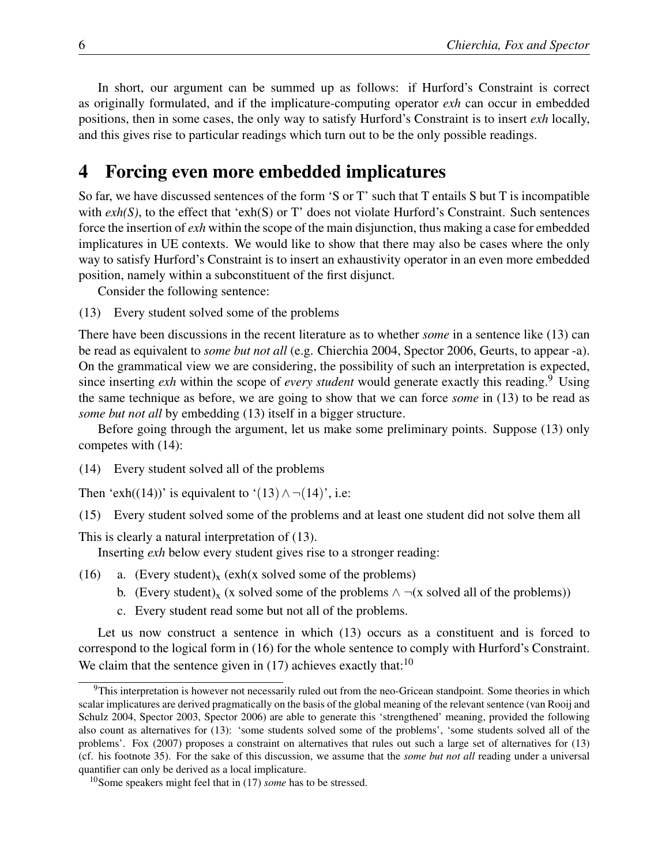In short, our argument can be summed up as follows: if Hurford's Constraint is correct as originally formulated, and if the implicature-computing operator *exh* can occur in embedded positions, then in some cases, the only way to satisfy Hurford's Constraint is to insert *exh* locally, and this gives rise to particular readings which turn out to be the only possible readings.

## 4 Forcing even more embedded implicatures

So far, we have discussed sentences of the form 'S or T' such that T entails S but T is incompatible with  $exh(S)$ , to the effect that 'exh(S) or T' does not violate Hurford's Constraint. Such sentences force the insertion of *exh* within the scope of the main disjunction, thus making a case for embedded implicatures in UE contexts. We would like to show that there may also be cases where the only way to satisfy Hurford's Constraint is to insert an exhaustivity operator in an even more embedded position, namely within a subconstituent of the first disjunct.

Consider the following sentence:

(13) Every student solved some of the problems

There have been discussions in the recent literature as to whether *some* in a sentence like (13) can be read as equivalent to *some but not all* (e.g. Chierchia 2004, Spector 2006, Geurts, to appear -a). On the grammatical view we are considering, the possibility of such an interpretation is expected, since inserting *exh* within the scope of *every student* would generate exactly this reading.<sup>9</sup> Using the same technique as before, we are going to show that we can force *some* in (13) to be read as *some but not all* by embedding (13) itself in a bigger structure.

Before going through the argument, let us make some preliminary points. Suppose (13) only competes with (14):

(14) Every student solved all of the problems

Then 'exh((14))' is equivalent to '(13)  $\land \neg(14)$ ', i.e:

(15) Every student solved some of the problems and at least one student did not solve them all

This is clearly a natural interpretation of (13).

Inserting *exh* below every student gives rise to a stronger reading:

- (16) a. (Every student)<sub>x</sub> (exh(x solved some of the problems)
	- b. (Every student)<sub>x</sub> (x solved some of the problems  $\land \neg(x \text{ solved all of the problems})$ )
	- c. Every student read some but not all of the problems.

Let us now construct a sentence in which (13) occurs as a constituent and is forced to correspond to the logical form in (16) for the whole sentence to comply with Hurford's Constraint. We claim that the sentence given in  $(17)$  achieves exactly that:<sup>10</sup>

<sup>&</sup>lt;sup>9</sup>This interpretation is however not necessarily ruled out from the neo-Gricean standpoint. Some theories in which scalar implicatures are derived pragmatically on the basis of the global meaning of the relevant sentence (van Rooij and Schulz 2004, Spector 2003, Spector 2006) are able to generate this 'strengthened' meaning, provided the following also count as alternatives for (13): 'some students solved some of the problems', 'some students solved all of the problems'. Fox (2007) proposes a constraint on alternatives that rules out such a large set of alternatives for (13) (cf. his footnote 35). For the sake of this discussion, we assume that the *some but not all* reading under a universal quantifier can only be derived as a local implicature.

<sup>10</sup>Some speakers might feel that in (17) *some* has to be stressed.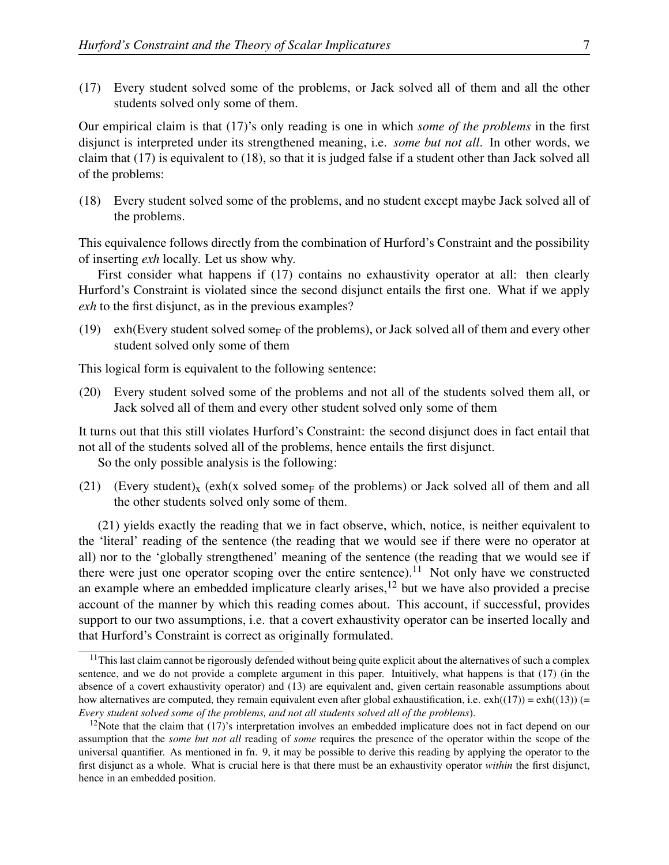(17) Every student solved some of the problems, or Jack solved all of them and all the other students solved only some of them.

Our empirical claim is that (17)'s only reading is one in which *some of the problems* in the first disjunct is interpreted under its strengthened meaning, i.e. *some but not all*. In other words, we claim that (17) is equivalent to (18), so that it is judged false if a student other than Jack solved all of the problems:

(18) Every student solved some of the problems, and no student except maybe Jack solved all of the problems.

This equivalence follows directly from the combination of Hurford's Constraint and the possibility of inserting *exh* locally. Let us show why.

First consider what happens if (17) contains no exhaustivity operator at all: then clearly Hurford's Constraint is violated since the second disjunct entails the first one. What if we apply *exh* to the first disjunct, as in the previous examples?

(19) exh(Every student solved some<sub>F</sub> of the problems), or Jack solved all of them and every other student solved only some of them

This logical form is equivalent to the following sentence:

(20) Every student solved some of the problems and not all of the students solved them all, or Jack solved all of them and every other student solved only some of them

It turns out that this still violates Hurford's Constraint: the second disjunct does in fact entail that not all of the students solved all of the problems, hence entails the first disjunct.

So the only possible analysis is the following:

(21) (Every student)<sub>x</sub> (exh(x solved some<sub>F</sub> of the problems) or Jack solved all of them and all the other students solved only some of them.

(21) yields exactly the reading that we in fact observe, which, notice, is neither equivalent to the 'literal' reading of the sentence (the reading that we would see if there were no operator at all) nor to the 'globally strengthened' meaning of the sentence (the reading that we would see if there were just one operator scoping over the entire sentence).<sup>11</sup> Not only have we constructed an example where an embedded implicature clearly arises, $12$  but we have also provided a precise account of the manner by which this reading comes about. This account, if successful, provides support to our two assumptions, i.e. that a covert exhaustivity operator can be inserted locally and that Hurford's Constraint is correct as originally formulated.

<sup>&</sup>lt;sup>11</sup>This last claim cannot be rigorously defended without being quite explicit about the alternatives of such a complex sentence, and we do not provide a complete argument in this paper. Intuitively, what happens is that (17) (in the absence of a covert exhaustivity operator) and (13) are equivalent and, given certain reasonable assumptions about how alternatives are computed, they remain equivalent even after global exhaustification, i.e.  $exh((17)) = exh((13))$  (= *Every student solved some of the problems, and not all students solved all of the problems*).

 $12$ Note that the claim that (17)'s interpretation involves an embedded implicature does not in fact depend on our assumption that the *some but not all* reading of *some* requires the presence of the operator within the scope of the universal quantifier. As mentioned in fn. 9, it may be possible to derive this reading by applying the operator to the first disjunct as a whole. What is crucial here is that there must be an exhaustivity operator *within* the first disjunct, hence in an embedded position.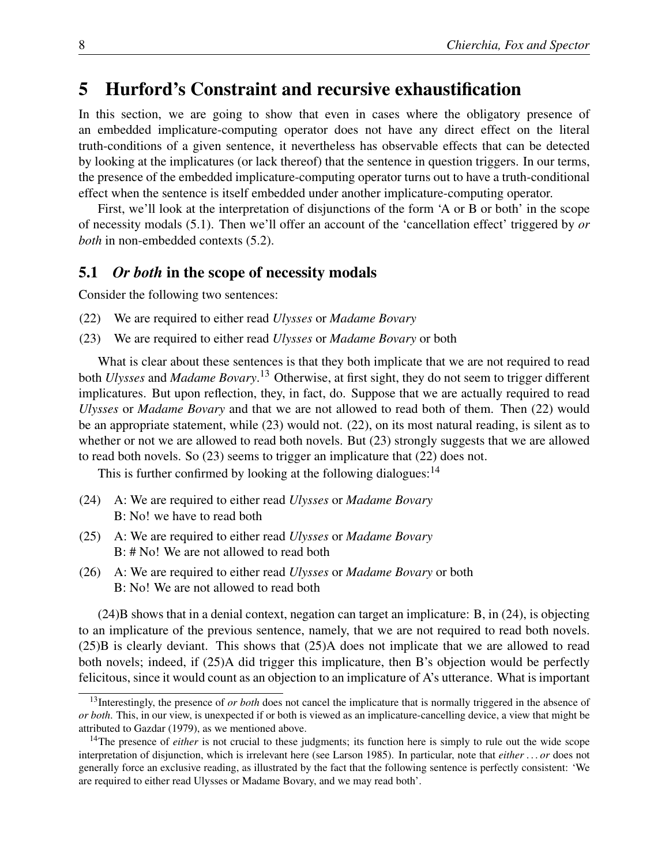## 5 Hurford's Constraint and recursive exhaustification

In this section, we are going to show that even in cases where the obligatory presence of an embedded implicature-computing operator does not have any direct effect on the literal truth-conditions of a given sentence, it nevertheless has observable effects that can be detected by looking at the implicatures (or lack thereof) that the sentence in question triggers. In our terms, the presence of the embedded implicature-computing operator turns out to have a truth-conditional effect when the sentence is itself embedded under another implicature-computing operator.

First, we'll look at the interpretation of disjunctions of the form 'A or B or both' in the scope of necessity modals (5.1). Then we'll offer an account of the 'cancellation effect' triggered by *or both* in non-embedded contexts (5.2).

#### 5.1 *Or both* in the scope of necessity modals

Consider the following two sentences:

- (22) We are required to either read *Ulysses* or *Madame Bovary*
- (23) We are required to either read *Ulysses* or *Madame Bovary* or both

What is clear about these sentences is that they both implicate that we are not required to read both *Ulysses* and *Madame Bovary*. <sup>13</sup> Otherwise, at first sight, they do not seem to trigger different implicatures. But upon reflection, they, in fact, do. Suppose that we are actually required to read *Ulysses* or *Madame Bovary* and that we are not allowed to read both of them. Then (22) would be an appropriate statement, while (23) would not. (22), on its most natural reading, is silent as to whether or not we are allowed to read both novels. But (23) strongly suggests that we are allowed to read both novels. So (23) seems to trigger an implicature that (22) does not.

This is further confirmed by looking at the following dialogues:  $14$ 

- (24) A: We are required to either read *Ulysses* or *Madame Bovary* B: No! we have to read both
- (25) A: We are required to either read *Ulysses* or *Madame Bovary* B: # No! We are not allowed to read both
- (26) A: We are required to either read *Ulysses* or *Madame Bovary* or both B: No! We are not allowed to read both

(24)B shows that in a denial context, negation can target an implicature: B, in (24), is objecting to an implicature of the previous sentence, namely, that we are not required to read both novels. (25)B is clearly deviant. This shows that (25)A does not implicate that we are allowed to read both novels; indeed, if (25)A did trigger this implicature, then B's objection would be perfectly felicitous, since it would count as an objection to an implicature of A's utterance. What is important

<sup>&</sup>lt;sup>13</sup>Interestingly, the presence of *or both* does not cancel the implicature that is normally triggered in the absence of *or both*. This, in our view, is unexpected if or both is viewed as an implicature-cancelling device, a view that might be attributed to Gazdar (1979), as we mentioned above.

<sup>&</sup>lt;sup>14</sup>The presence of *either* is not crucial to these judgments; its function here is simply to rule out the wide scope interpretation of disjunction, which is irrelevant here (see Larson 1985). In particular, note that *either . . . or* does not generally force an exclusive reading, as illustrated by the fact that the following sentence is perfectly consistent: 'We are required to either read Ulysses or Madame Bovary, and we may read both'.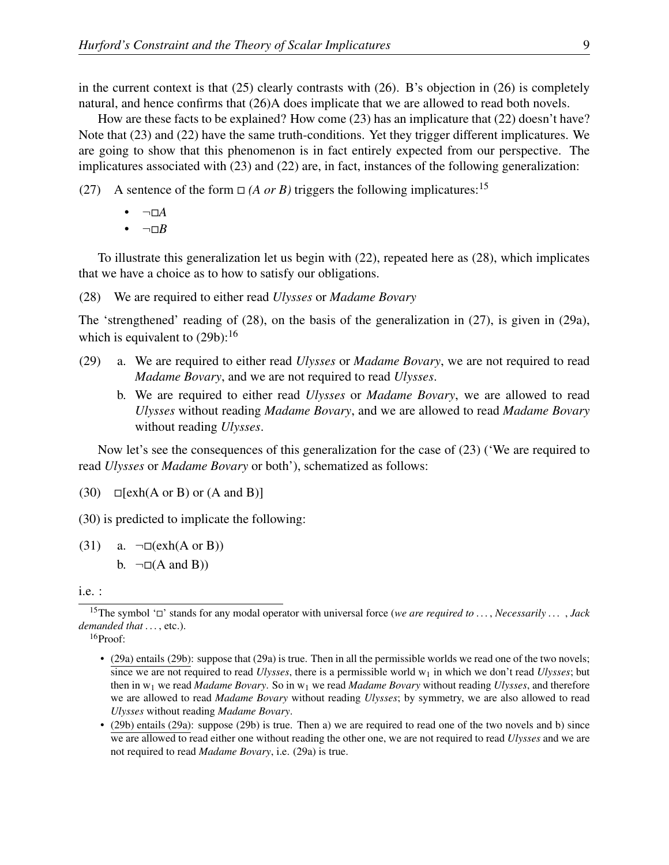in the current context is that (25) clearly contrasts with (26). B's objection in (26) is completely natural, and hence confirms that (26)A does implicate that we are allowed to read both novels.

How are these facts to be explained? How come (23) has an implicature that (22) doesn't have? Note that (23) and (22) have the same truth-conditions. Yet they trigger different implicatures. We are going to show that this phenomenon is in fact entirely expected from our perspective. The implicatures associated with (23) and (22) are, in fact, instances of the following generalization:

- (27) A sentence of the form  $\Box$  (*A or B*) triggers the following implicatures:<sup>15</sup>
	- $\neg\Box A$
	- $\bullet$   $\neg$  $\neg$ *B*

To illustrate this generalization let us begin with (22), repeated here as (28), which implicates that we have a choice as to how to satisfy our obligations.

(28) We are required to either read *Ulysses* or *Madame Bovary*

The 'strengthened' reading of (28), on the basis of the generalization in (27), is given in (29a), which is equivalent to  $(29b)$ :<sup>16</sup>

- (29) a. We are required to either read *Ulysses* or *Madame Bovary*, we are not required to read *Madame Bovary*, and we are not required to read *Ulysses*.
	- b. We are required to either read *Ulysses* or *Madame Bovary*, we are allowed to read *Ulysses* without reading *Madame Bovary*, and we are allowed to read *Madame Bovary* without reading *Ulysses*.

Now let's see the consequences of this generalization for the case of (23) ('We are required to read *Ulysses* or *Madame Bovary* or both'), schematized as follows:

 $(30)$   $\Box$ [exh(A or B) or (A and B)]

(30) is predicted to implicate the following:

(31) a.  $\neg\Box(\text{exh}(A \text{ or } B))$ b.  $\neg \Box(A \text{ and } B))$ 

i.e. :

<sup>16</sup>Proof:

<sup>&</sup>lt;sup>15</sup>The symbol ' $\Box$ ' stands for any modal operator with universal force (*we are required to ..., Necessarily ..., Jack demanded that ...*, etc.).

<sup>•</sup> (29a) entails (29b): suppose that (29a) is true. Then in all the permissible worlds we read one of the two novels; since we are not required to read *Ulysses*, there is a permissible world w<sub>1</sub> in which we don't read *Ulysses*; but then in w<sup>1</sup> we read *Madame Bovary*. So in w<sup>1</sup> we read *Madame Bovary* without reading *Ulysses*, and therefore we are allowed to read *Madame Bovary* without reading *Ulysses*; by symmetry, we are also allowed to read *Ulysses* without reading *Madame Bovary*.

<sup>•</sup> (29b) entails (29a): suppose (29b) is true. Then a) we are required to read one of the two novels and b) since we are allowed to read either one without reading the other one, we are not required to read *Ulysses* and we are not required to read *Madame Bovary*, i.e. (29a) is true.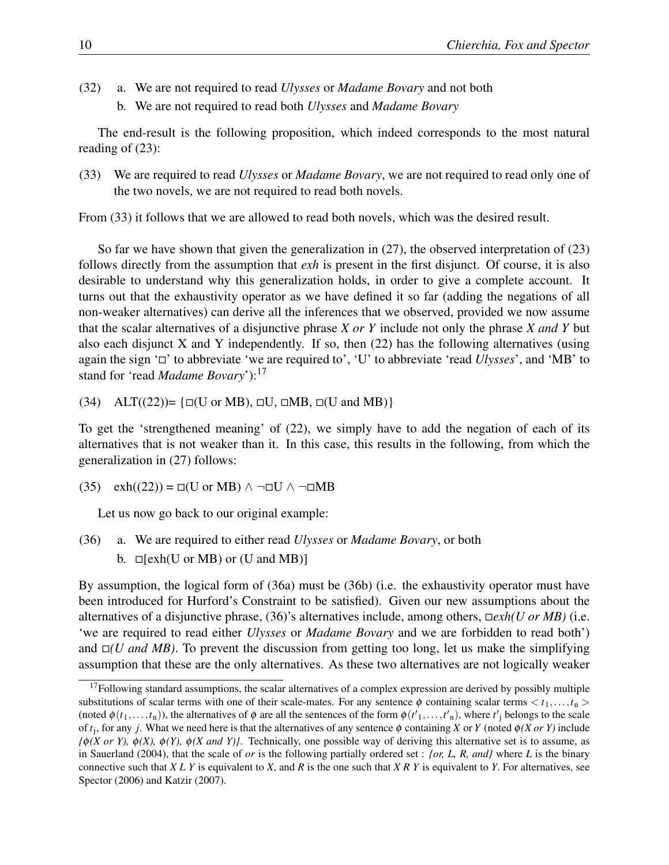- (32) a. We are not required to read *Ulysses* or *Madame Bovary* and not both
	- b. We are not required to read both *Ulysses* and *Madame Bovary*

The end-result is the following proposition, which indeed corresponds to the most natural reading of (23):

(33) We are required to read *Ulysses* or *Madame Bovary*, we are not required to read only one of the two novels, we are not required to read both novels.

From (33) it follows that we are allowed to read both novels, which was the desired result.

So far we have shown that given the generalization in (27), the observed interpretation of (23) follows directly from the assumption that *exh* is present in the first disjunct. Of course, it is also desirable to understand why this generalization holds, in order to give a complete account. It turns out that the exhaustivity operator as we have defined it so far (adding the negations of all non-weaker alternatives) can derive all the inferences that we observed, provided we now assume that the scalar alternatives of a disjunctive phrase *X or Y* include not only the phrase *X and Y* but also each disjunct X and Y independently. If so, then  $(22)$  has the following alternatives (using again the sign ' $\square$ ' to abbreviate 'we are required to', 'U' to abbreviate 'read *Ulysses*', and 'MB' to stand for 'read *Madame Bovary*'):<sup>17</sup>

 $(34)$  ALT $((22))$ = { $\Box$ (U or MB),  $\Box$ U,  $\Box$ MB,  $\Box$ (U and MB)}

To get the 'strengthened meaning' of (22), we simply have to add the negation of each of its alternatives that is not weaker than it. In this case, this results in the following, from which the generalization in (27) follows:

 $(35)$  exh $((22)) = \Box$ (U or MB)  $\land \neg \Box$ U  $\land \neg \Box$ MB

Let us now go back to our original example:

(36) a. We are required to either read *Ulysses* or *Madame Bovary*, or both b.  $\Box$ [exh(U or MB) or (U and MB)]

By assumption, the logical form of (36a) must be (36b) (i.e. the exhaustivity operator must have been introduced for Hurford's Constraint to be satisfied). Given our new assumptions about the alternatives of a disjunctive phrase, (36)'s alternatives include, among others,  $\Box$ *exh(U or MB)* (i.e. 'we are required to read either *Ulysses* or *Madame Bovary* and we are forbidden to read both') and  $\Box(U \text{ and } MB)$ . To prevent the discussion from getting too long, let us make the simplifying assumption that these are the only alternatives. As these two alternatives are not logically weaker

 $17$ Following standard assumptions, the scalar alternatives of a complex expression are derived by possibly multiple substitutions of scalar terms with one of their scale-mates. For any sentence  $\phi$  containing scalar terms  $\langle t_1,\ldots,t_n\rangle$ (noted  $\phi(t_1,...,t_n)$ ), the alternatives of  $\phi$  are all the sentences of the form  $\phi(t'_1,...,t'_n)$ , where  $t'_j$  belongs to the scale of *t*<sup>j</sup> , for any *j*. What we need here is that the alternatives of any sentence φ containing *X* or *Y* (noted φ*(X or Y)* include  $f\phi(X \text{ or } Y)$ ,  $\phi(X)$ ,  $\phi(Y)$ ,  $\phi(X \text{ and } Y)$ . Technically, one possible way of deriving this alternative set is to assume, as in Sauerland (2004), that the scale of *or* is the following partially ordered set : *{or, L, R, and}* where *L* is the binary connective such that *X L Y* is equivalent to *X*, and *R* is the one such that *X R Y* is equivalent to *Y*. For alternatives, see Spector (2006) and Katzir (2007).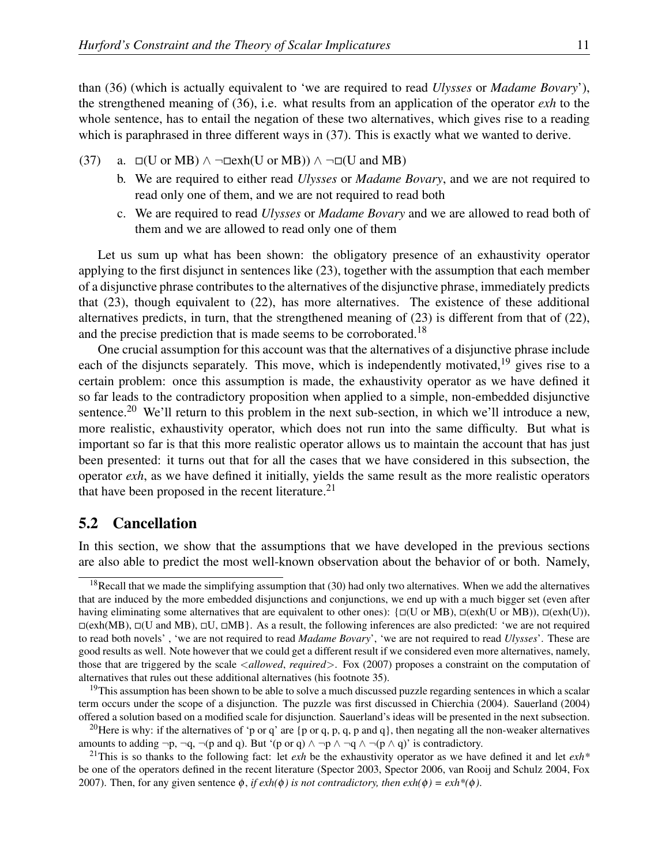than (36) (which is actually equivalent to 'we are required to read *Ulysses* or *Madame Bovary*'), the strengthened meaning of (36), i.e. what results from an application of the operator *exh* to the whole sentence, has to entail the negation of these two alternatives, which gives rise to a reading which is paraphrased in three different ways in  $(37)$ . This is exactly what we wanted to derive.

- (37) a.  $\square$ (U or MB) ∧ ¬ $\square$ exh(U or MB)) ∧ ¬ $\square$ (U and MB)
	- b. We are required to either read *Ulysses* or *Madame Bovary*, and we are not required to read only one of them, and we are not required to read both
	- c. We are required to read *Ulysses* or *Madame Bovary* and we are allowed to read both of them and we are allowed to read only one of them

Let us sum up what has been shown: the obligatory presence of an exhaustivity operator applying to the first disjunct in sentences like (23), together with the assumption that each member of a disjunctive phrase contributes to the alternatives of the disjunctive phrase, immediately predicts that (23), though equivalent to (22), has more alternatives. The existence of these additional alternatives predicts, in turn, that the strengthened meaning of (23) is different from that of (22), and the precise prediction that is made seems to be corroborated.<sup>18</sup>

One crucial assumption for this account was that the alternatives of a disjunctive phrase include each of the disjuncts separately. This move, which is independently motivated,  $19$  gives rise to a certain problem: once this assumption is made, the exhaustivity operator as we have defined it so far leads to the contradictory proposition when applied to a simple, non-embedded disjunctive sentence.<sup>20</sup> We'll return to this problem in the next sub-section, in which we'll introduce a new, more realistic, exhaustivity operator, which does not run into the same difficulty. But what is important so far is that this more realistic operator allows us to maintain the account that has just been presented: it turns out that for all the cases that we have considered in this subsection, the operator *exh*, as we have defined it initially, yields the same result as the more realistic operators that have been proposed in the recent literature.<sup>21</sup>

#### 5.2 Cancellation

In this section, we show that the assumptions that we have developed in the previous sections are also able to predict the most well-known observation about the behavior of or both. Namely,

 $19$ This assumption has been shown to be able to solve a much discussed puzzle regarding sentences in which a scalar term occurs under the scope of a disjunction. The puzzle was first discussed in Chierchia (2004). Sauerland (2004) offered a solution based on a modified scale for disjunction. Sauerland's ideas will be presented in the next subsection.

<sup>20</sup>Here is why: if the alternatives of 'p or q' are {p or q, p, q, p and q}, then negating all the non-weaker alternatives amounts to adding  $\neg p, \neg q, \neg (p \text{ and } q)$ . But '(p or q)  $\land \neg p \land \neg q \land \neg (p \land q)$ ' is contradictory.

 $18$ Recall that we made the simplifying assumption that (30) had only two alternatives. When we add the alternatives that are induced by the more embedded disjunctions and conjunctions, we end up with a much bigger set (even after having eliminating some alternatives that are equivalent to other ones):  $\{\Box(U \text{ or } MB), \Box(\mathrm{exh}(U) \text{ or } MB)\}$ ,  $\Box(\mathrm{exh}(U)),$  $\Box(\mathrm{exh(MB)}, \Box(\mathrm{U} \mathrm{and} \mathrm{MB}), \Box(\mathrm{U}, \Box \mathrm{MB})$ . As a result, the following inferences are also predicted: 'we are not required to read both novels' , 'we are not required to read *Madame Bovary*', 'we are not required to read *Ulysses*'. These are good results as well. Note however that we could get a different result if we considered even more alternatives, namely, those that are triggered by the scale <*allowed*, *required*>. Fox (2007) proposes a constraint on the computation of alternatives that rules out these additional alternatives (his footnote 35).

<sup>&</sup>lt;sup>21</sup>This is so thanks to the following fact: let *exh* be the exhaustivity operator as we have defined it and let  $exh<sup>*</sup>$ be one of the operators defined in the recent literature (Spector 2003, Spector 2006, van Rooij and Schulz 2004, Fox 2007). Then, for any given sentence  $\phi$ , *if exh(* $\phi$ *) is not contradictory, then exh(* $\phi$ *)* = *exh\*(* $\phi$ *)*.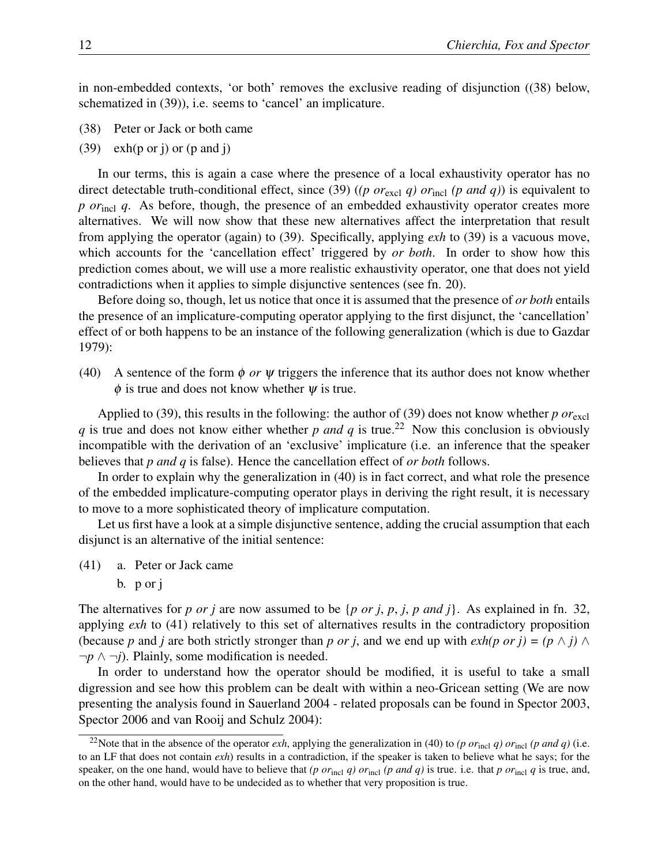in non-embedded contexts, 'or both' removes the exclusive reading of disjunction ((38) below, schematized in (39)), i.e. seems to 'cancel' an implicature.

- (38) Peter or Jack or both came
- (39) exh(p or j) or (p and j)

In our terms, this is again a case where the presence of a local exhaustivity operator has no direct detectable truth-conditional effect, since (39) ((p or<sub>excl</sub> q) or<sub>incl</sub> (p and q)) is equivalent to *p or*<sub>incl</sub> *q*. As before, though, the presence of an embedded exhaustivity operator creates more alternatives. We will now show that these new alternatives affect the interpretation that result from applying the operator (again) to (39). Specifically, applying *exh* to (39) is a vacuous move, which accounts for the 'cancellation effect' triggered by *or both*. In order to show how this prediction comes about, we will use a more realistic exhaustivity operator, one that does not yield contradictions when it applies to simple disjunctive sentences (see fn. 20).

Before doing so, though, let us notice that once it is assumed that the presence of *or both* entails the presence of an implicature-computing operator applying to the first disjunct, the 'cancellation' effect of or both happens to be an instance of the following generalization (which is due to Gazdar 1979):

(40) A sentence of the form  $\phi$  *or*  $\psi$  triggers the inference that its author does not know whether  $\phi$  is true and does not know whether  $\psi$  is true.

Applied to (39), this results in the following: the author of (39) does not know whether  $p \text{ or}_{\text{excl}}$ *q* is true and does not know either whether *p* and *q* is true.<sup>22</sup> Now this conclusion is obviously incompatible with the derivation of an 'exclusive' implicature (i.e. an inference that the speaker believes that *p and q* is false). Hence the cancellation effect of *or both* follows.

In order to explain why the generalization in (40) is in fact correct, and what role the presence of the embedded implicature-computing operator plays in deriving the right result, it is necessary to move to a more sophisticated theory of implicature computation.

Let us first have a look at a simple disjunctive sentence, adding the crucial assumption that each disjunct is an alternative of the initial sentence:

- (41) a. Peter or Jack came
	- b. p or j

The alternatives for *p or j* are now assumed to be {*p or j*, *p*, *j*, *p and j*}. As explained in fn. 32, applying *exh* to (41) relatively to this set of alternatives results in the contradictory proposition (because *p* and *j* are both strictly stronger than *p or j*, and we end up with  $exh(p \text{ or } j) = (p \land j) \land p$ ¬*p* ∧ ¬*j*). Plainly, some modification is needed.

In order to understand how the operator should be modified, it is useful to take a small digression and see how this problem can be dealt with within a neo-Gricean setting (We are now presenting the analysis found in Sauerland 2004 - related proposals can be found in Spector 2003, Spector 2006 and van Rooij and Schulz 2004):

<sup>&</sup>lt;sup>22</sup>Note that in the absence of the operator *exh*, applying the generalization in (40) to (*p* or<sub>incl</sub> *q*) or<sub>incl</sub> (*p and q*) (i.e. to an LF that does not contain *exh*) results in a contradiction, if the speaker is taken to believe what he says; for the speaker, on the one hand, would have to believe that *(p or*<sub>incl</sub> *q)* or<sub>incl</sub> *(p and q)* is true. i.e. that *p* or<sub>incl</sub> *q* is true, and, on the other hand, would have to be undecided as to whether that very proposition is true.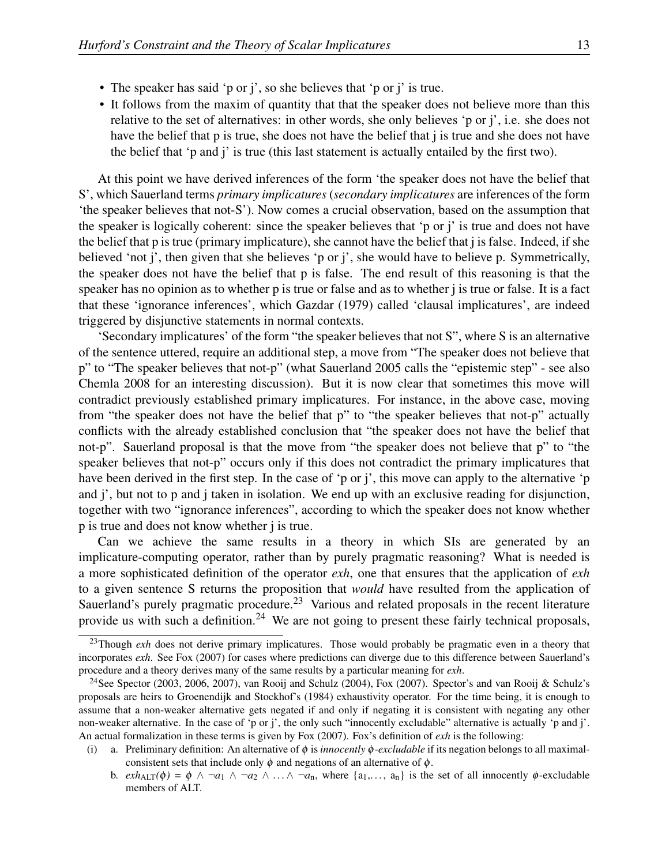- The speaker has said 'p or j', so she believes that 'p or j' is true.
- It follows from the maxim of quantity that that the speaker does not believe more than this relative to the set of alternatives: in other words, she only believes 'p or j', i.e. she does not have the belief that p is true, she does not have the belief that j is true and she does not have the belief that 'p and j' is true (this last statement is actually entailed by the first two).

At this point we have derived inferences of the form 'the speaker does not have the belief that S', which Sauerland terms *primary implicatures* (*secondary implicatures* are inferences of the form 'the speaker believes that not-S'). Now comes a crucial observation, based on the assumption that the speaker is logically coherent: since the speaker believes that 'p or j' is true and does not have the belief that p is true (primary implicature), she cannot have the belief that j is false. Indeed, if she believed 'not j', then given that she believes 'p or j', she would have to believe p. Symmetrically, the speaker does not have the belief that p is false. The end result of this reasoning is that the speaker has no opinion as to whether p is true or false and as to whether j is true or false. It is a fact that these 'ignorance inferences', which Gazdar (1979) called 'clausal implicatures', are indeed triggered by disjunctive statements in normal contexts.

'Secondary implicatures' of the form "the speaker believes that not S", where S is an alternative of the sentence uttered, require an additional step, a move from "The speaker does not believe that p" to "The speaker believes that not-p" (what Sauerland 2005 calls the "epistemic step" - see also Chemla 2008 for an interesting discussion). But it is now clear that sometimes this move will contradict previously established primary implicatures. For instance, in the above case, moving from "the speaker does not have the belief that p" to "the speaker believes that not-p" actually conflicts with the already established conclusion that "the speaker does not have the belief that not-p". Sauerland proposal is that the move from "the speaker does not believe that p" to "the speaker believes that not-p" occurs only if this does not contradict the primary implicatures that have been derived in the first step. In the case of 'p or j', this move can apply to the alternative 'p and j', but not to p and j taken in isolation. We end up with an exclusive reading for disjunction, together with two "ignorance inferences", according to which the speaker does not know whether p is true and does not know whether j is true.

Can we achieve the same results in a theory in which SIs are generated by an implicature-computing operator, rather than by purely pragmatic reasoning? What is needed is a more sophisticated definition of the operator *exh*, one that ensures that the application of *exh* to a given sentence S returns the proposition that *would* have resulted from the application of Sauerland's purely pragmatic procedure.<sup>23</sup> Various and related proposals in the recent literature provide us with such a definition.<sup>24</sup> We are not going to present these fairly technical proposals,

<sup>&</sup>lt;sup>23</sup>Though *exh* does not derive primary implicatures. Those would probably be pragmatic even in a theory that incorporates *exh*. See Fox (2007) for cases where predictions can diverge due to this difference between Sauerland's procedure and a theory derives many of the same results by a particular meaning for *exh*.

<sup>&</sup>lt;sup>24</sup>See Spector (2003, 2006, 2007), van Rooij and Schulz (2004), Fox (2007). Spector's and van Rooij & Schulz's proposals are heirs to Groenendijk and Stockhof's (1984) exhaustivity operator. For the time being, it is enough to assume that a non-weaker alternative gets negated if and only if negating it is consistent with negating any other non-weaker alternative. In the case of 'p or j', the only such "innocently excludable" alternative is actually 'p and j'. An actual formalization in these terms is given by Fox (2007). Fox's definition of *exh* is the following:

<sup>(</sup>i) a. Preliminary definition: An alternative of φ is *innocently* φ*-excludable* if its negation belongs to all maximalconsistent sets that include only  $\phi$  and negations of an alternative of  $\phi$ .

b.  $exh_{\text{ALT}}(\phi) = \phi \land \neg a_1 \land \neg a_2 \land \dots \land \neg a_n$ , where  $\{a_1, \dots, a_n\}$  is the set of all innocently  $\phi$ -excludable members of ALT.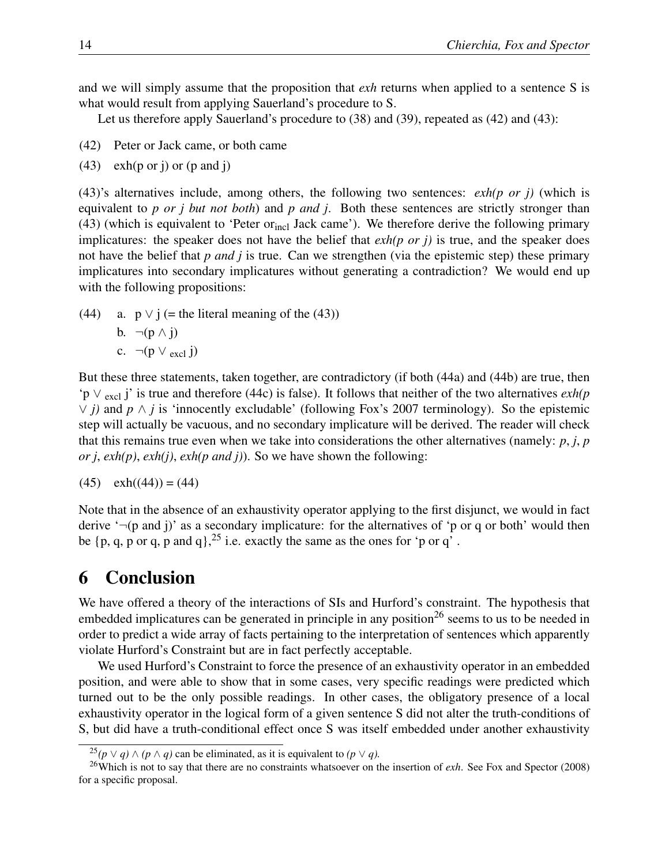and we will simply assume that the proposition that *exh* returns when applied to a sentence S is what would result from applying Sauerland's procedure to S.

Let us therefore apply Sauerland's procedure to (38) and (39), repeated as (42) and (43):

- (42) Peter or Jack came, or both came
- $(43)$  exh(p or j) or (p and j)

(43)'s alternatives include, among others, the following two sentences: *exh(p or j)* (which is equivalent to *p or j but not both*) and *p and j*. Both these sentences are strictly stronger than  $(43)$  (which is equivalent to 'Peter or<sub>incl</sub> Jack came'). We therefore derive the following primary implicatures: the speaker does not have the belief that *exh(p or j)* is true, and the speaker does not have the belief that *p and j* is true. Can we strengthen (via the epistemic step) these primary implicatures into secondary implicatures without generating a contradiction? We would end up with the following propositions:

(44) a.  $p \vee j$  (= the literal meaning of the (43)) b.  $\neg(p \wedge i)$ c.  $\neg(p \vee_{\text{excl}} i)$ 

But these three statements, taken together, are contradictory (if both (44a) and (44b) are true, then 'p ∨ excl j' is true and therefore (44c) is false). It follows that neither of the two alternatives *exh(p* ∨ *j)* and *p* ∧ *j* is 'innocently excludable' (following Fox's 2007 terminology). So the epistemic step will actually be vacuous, and no secondary implicature will be derived. The reader will check that this remains true even when we take into considerations the other alternatives (namely: *p*, *j*, *p or j*, *exh(p)*, *exh(j)*, *exh(p and j)*). So we have shown the following:

$$
(45) \quad \text{exh}((44)) = (44)
$$

Note that in the absence of an exhaustivity operator applying to the first disjunct, we would in fact derive  $\lnot(p \text{ and } j)$  as a secondary implicature: for the alternatives of  $\lnot p$  or q or both' would then be  $\{p, q, p \text{ or } q, p \text{ and } q\}$ ,  $^{25}$  i.e. exactly the same as the ones for 'p or q'.

# 6 Conclusion

We have offered a theory of the interactions of SIs and Hurford's constraint. The hypothesis that embedded implicatures can be generated in principle in any position<sup>26</sup> seems to us to be needed in order to predict a wide array of facts pertaining to the interpretation of sentences which apparently violate Hurford's Constraint but are in fact perfectly acceptable.

We used Hurford's Constraint to force the presence of an exhaustivity operator in an embedded position, and were able to show that in some cases, very specific readings were predicted which turned out to be the only possible readings. In other cases, the obligatory presence of a local exhaustivity operator in the logical form of a given sentence S did not alter the truth-conditions of S, but did have a truth-conditional effect once S was itself embedded under another exhaustivity

<sup>&</sup>lt;sup>25</sup> $(p \vee q) \wedge (p \wedge q)$  can be eliminated, as it is equivalent to  $(p \vee q)$ .

<sup>26</sup>Which is not to say that there are no constraints whatsoever on the insertion of *exh*. See Fox and Spector (2008) for a specific proposal.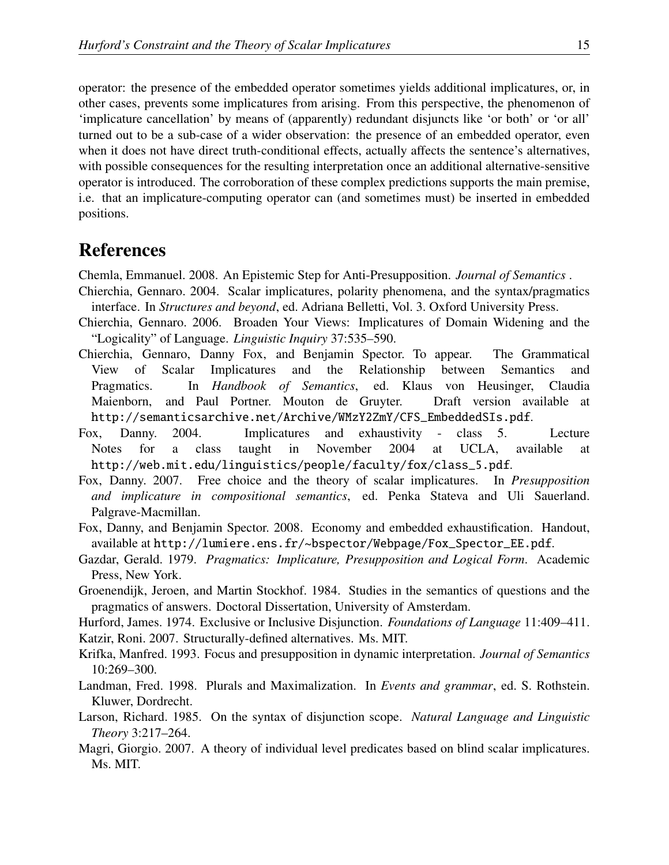operator: the presence of the embedded operator sometimes yields additional implicatures, or, in other cases, prevents some implicatures from arising. From this perspective, the phenomenon of 'implicature cancellation' by means of (apparently) redundant disjuncts like 'or both' or 'or all' turned out to be a sub-case of a wider observation: the presence of an embedded operator, even when it does not have direct truth-conditional effects, actually affects the sentence's alternatives, with possible consequences for the resulting interpretation once an additional alternative-sensitive operator is introduced. The corroboration of these complex predictions supports the main premise, i.e. that an implicature-computing operator can (and sometimes must) be inserted in embedded positions.

# References

Chemla, Emmanuel. 2008. An Epistemic Step for Anti-Presupposition. *Journal of Semantics* .

- Chierchia, Gennaro. 2004. Scalar implicatures, polarity phenomena, and the syntax/pragmatics interface. In *Structures and beyond*, ed. Adriana Belletti, Vol. 3. Oxford University Press.
- Chierchia, Gennaro. 2006. Broaden Your Views: Implicatures of Domain Widening and the "Logicality" of Language. *Linguistic Inquiry* 37:535–590.
- Chierchia, Gennaro, Danny Fox, and Benjamin Spector. To appear. The Grammatical View of Scalar Implicatures and the Relationship between Semantics and Pragmatics. In *Handbook of Semantics*, ed. Klaus von Heusinger, Claudia Maienborn, and Paul Portner. Mouton de Gruyter. Draft version available at http://semanticsarchive.net/Archive/WMzY2ZmY/CFS\_EmbeddedSIs.pdf.
- Fox, Danny. 2004. Implicatures and exhaustivity class 5. Lecture Notes for a class taught in November 2004 at UCLA, available at http://web.mit.edu/linguistics/people/faculty/fox/class\_5.pdf.
- Fox, Danny. 2007. Free choice and the theory of scalar implicatures. In *Presupposition and implicature in compositional semantics*, ed. Penka Stateva and Uli Sauerland. Palgrave-Macmillan.
- Fox, Danny, and Benjamin Spector. 2008. Economy and embedded exhaustification. Handout, available at http://lumiere.ens.fr/~bspector/Webpage/Fox\_Spector\_EE.pdf.
- Gazdar, Gerald. 1979. *Pragmatics: Implicature, Presupposition and Logical Form*. Academic Press, New York.
- Groenendijk, Jeroen, and Martin Stockhof. 1984. Studies in the semantics of questions and the pragmatics of answers. Doctoral Dissertation, University of Amsterdam.

Hurford, James. 1974. Exclusive or Inclusive Disjunction. *Foundations of Language* 11:409–411. Katzir, Roni. 2007. Structurally-defined alternatives. Ms. MIT.

- Krifka, Manfred. 1993. Focus and presupposition in dynamic interpretation. *Journal of Semantics* 10:269–300.
- Landman, Fred. 1998. Plurals and Maximalization. In *Events and grammar*, ed. S. Rothstein. Kluwer, Dordrecht.
- Larson, Richard. 1985. On the syntax of disjunction scope. *Natural Language and Linguistic Theory* 3:217–264.
- Magri, Giorgio. 2007. A theory of individual level predicates based on blind scalar implicatures. Ms. MIT.